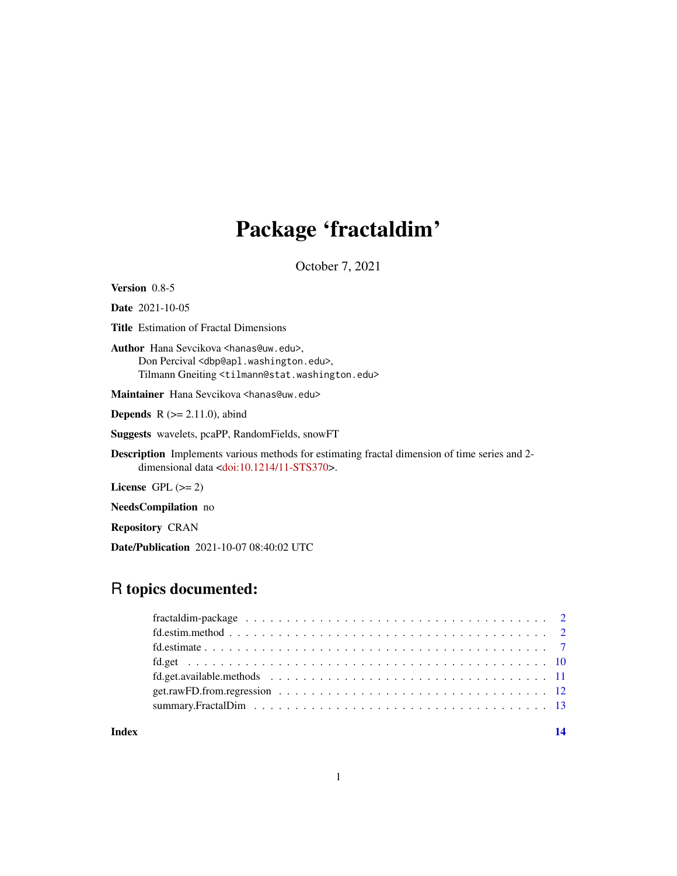# Package 'fractaldim'

October 7, 2021

Version 0.8-5

Date 2021-10-05

Title Estimation of Fractal Dimensions

Author Hana Sevcikova <hanas@uw.edu>, Don Percival <dbp@apl.washington.edu>, Tilmann Gneiting <tilmann@stat.washington.edu>

Maintainer Hana Sevcikova <hanas@uw.edu>

**Depends**  $R$  ( $>= 2.11.0$ ), abind

Suggests wavelets, pcaPP, RandomFields, snowFT

Description Implements various methods for estimating fractal dimension of time series and 2- dimensional data [<doi:10.1214/11-STS370>](https://doi.org/10.1214/11-STS370).

License GPL  $(>= 2)$ 

NeedsCompilation no

Repository CRAN

Date/Publication 2021-10-07 08:40:02 UTC

# R topics documented:

#### **Index** 2008 **[14](#page-13-0)**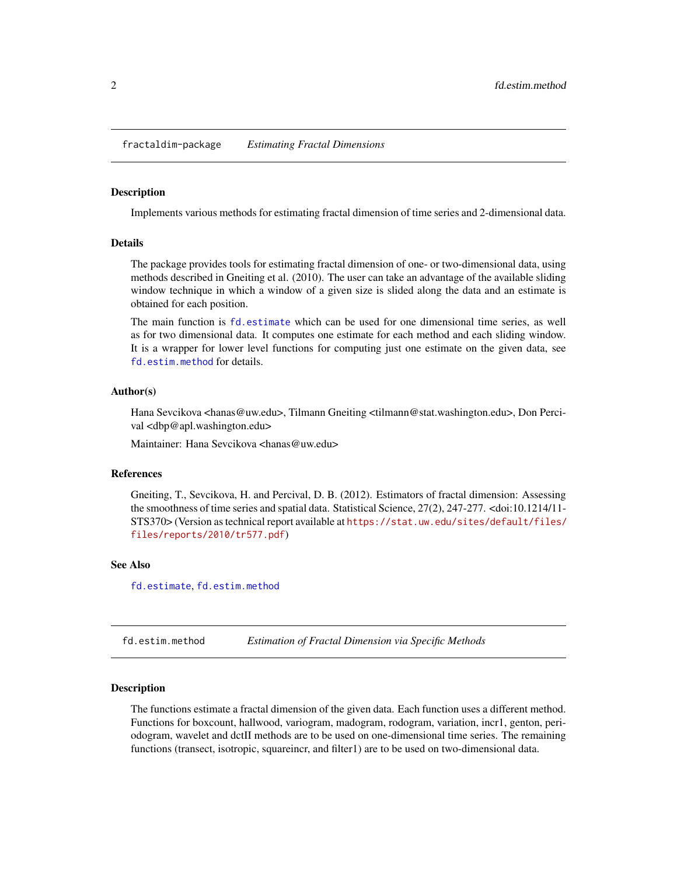<span id="page-1-0"></span>fractaldim-package *Estimating Fractal Dimensions*

#### Description

Implements various methods for estimating fractal dimension of time series and 2-dimensional data.

## Details

The package provides tools for estimating fractal dimension of one- or two-dimensional data, using methods described in Gneiting et al. (2010). The user can take an advantage of the available sliding window technique in which a window of a given size is slided along the data and an estimate is obtained for each position.

The main function is [fd.estimate](#page-6-1) which can be used for one dimensional time series, as well as for two dimensional data. It computes one estimate for each method and each sliding window. It is a wrapper for lower level functions for computing just one estimate on the given data, see [fd.estim.method](#page-1-1) for details.

#### Author(s)

Hana Sevcikova <hanas@uw.edu>, Tilmann Gneiting <tilmann@stat.washington.edu>, Don Percival <dbp@apl.washington.edu>

Maintainer: Hana Sevcikova <hanas@uw.edu>

#### References

Gneiting, T., Sevcikova, H. and Percival, D. B. (2012). Estimators of fractal dimension: Assessing the smoothness of time series and spatial data. Statistical Science, 27(2), 247-277. <doi:10.1214/11- STS370> (Version as technical report available at [https://stat.uw.edu/sites/default/files/](https://stat.uw.edu/sites/default/files/files/reports/2010/tr577.pdf) [files/reports/2010/tr577.pdf](https://stat.uw.edu/sites/default/files/files/reports/2010/tr577.pdf))

## See Also

[fd.estimate](#page-6-1), [fd.estim.method](#page-1-1)

<span id="page-1-1"></span>fd.estim.method *Estimation of Fractal Dimension via Specific Methods*

#### Description

The functions estimate a fractal dimension of the given data. Each function uses a different method. Functions for boxcount, hallwood, variogram, madogram, rodogram, variation, incr1, genton, periodogram, wavelet and dctII methods are to be used on one-dimensional time series. The remaining functions (transect, isotropic, squareincr, and filter1) are to be used on two-dimensional data.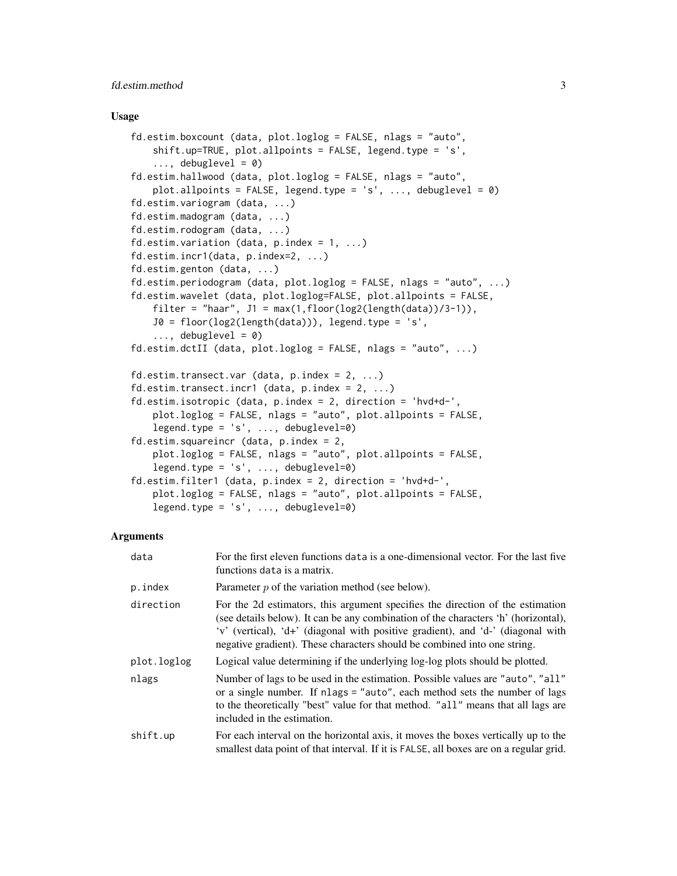## fd.estim.method 3

#### Usage

```
fd.estim.boxcount (data, plot.loglog = FALSE, nlags = "auto",
    shift.up=TRUE, plot.allpoints = FALSE, legend.type = 's',
    \ldots, debuglevel = 0)
fd.estim.hallwood (data, plot.loglog = FALSE, nlags = "auto",
    plot.allpoints = FALSE, legend.type = 's', ..., debuglevel = \theta)
fd.estim.variogram (data, ...)
fd.estim.madogram (data, ...)
fd.estim.rodogram (data, ...)
fd.estim.variation (data, p.index = 1, ...)
fd.estim.incr1(data, p.index=2, ...)
fd.estim.genton (data, ...)
fd.estim.periodogram (data, plot.loglog = FALSE, nlags = "auto", ...)
fd.estim.wavelet (data, plot.loglog=FALSE, plot.allpoints = FALSE,
    filter = "haar", J1 = max(1, floor(log2(length(data))/3-1)),J0 = floor(log2(length(data))), legend.type = 's',
    \ldots, debuglevel = 0)
fd.estim.dctII (data, plot.loglog = FALSE, nlags = "auto", ...)
fd.estim.transect.var (data, p.index = 2, ...)
fd.estim.transect.incr1 (data, p.index = 2, ...)
fd.estim.isotropic (data, p.index = 2, direction = 'hvd+d-',
    plot.loglog = FALSE, nlags = "auto", plot.allpoints = FALSE,
    legend.type = 's', ..., debuglevel=0)
fd.estim.squareincr (data, p.index = 2,
    plot.loglog = FALSE, nlags = "auto", plot.allpoints = FALSE,
    legend.type = 's', ..., debuglevel=0)
fd.estim.filter1 (data, p.index = 2, direction = 'hvd+d-',
    plot.loglog = FALSE, nlags = "auto", plot.allpoints = FALSE,
    legend.pype = 's', ..., debuglevel=0)
```
#### Arguments

| data        | For the first eleven functions data is a one-dimensional vector. For the last five<br>functions data is a matrix.                                                                                                                                                                                                                   |
|-------------|-------------------------------------------------------------------------------------------------------------------------------------------------------------------------------------------------------------------------------------------------------------------------------------------------------------------------------------|
| p.index     | Parameter $p$ of the variation method (see below).                                                                                                                                                                                                                                                                                  |
| direction   | For the 2d estimators, this argument specifies the direction of the estimation<br>(see details below). It can be any combination of the characters 'h' (horizontal),<br>'v' (vertical), 'd+' (diagonal with positive gradient), and 'd-' (diagonal with<br>negative gradient). These characters should be combined into one string. |
| plot.loglog | Logical value determining if the underlying log-log plots should be plotted.                                                                                                                                                                                                                                                        |
| nlags       | Number of lags to be used in the estimation. Possible values are "auto", "all"<br>or a single number. If nlags = "auto", each method sets the number of lags<br>to the theoretically "best" value for that method. "all" means that all lags are<br>included in the estimation.                                                     |
| shift.up    | For each interval on the horizontal axis, it moves the boxes vertically up to the<br>smallest data point of that interval. If it is FALSE, all boxes are on a regular grid.                                                                                                                                                         |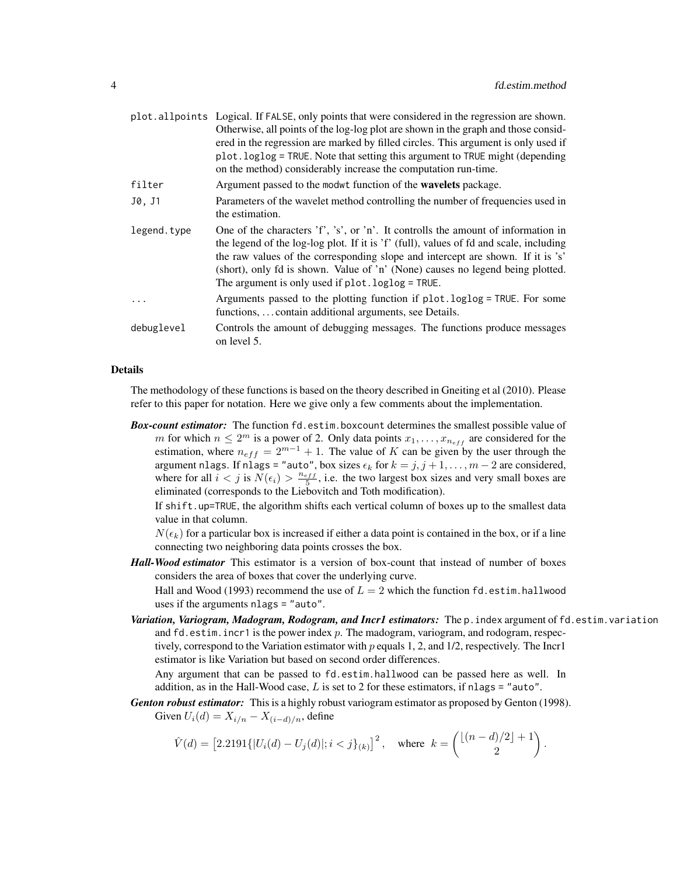|             | plot all points Logical. If FALSE, only points that were considered in the regression are shown.<br>Otherwise, all points of the log-log plot are shown in the graph and those consid-<br>ered in the regression are marked by filled circles. This argument is only used if<br>plot.loglog = TRUE. Note that setting this argument to TRUE might (depending<br>on the method) considerably increase the computation run-time. |
|-------------|--------------------------------------------------------------------------------------------------------------------------------------------------------------------------------------------------------------------------------------------------------------------------------------------------------------------------------------------------------------------------------------------------------------------------------|
| filter      | Argument passed to the modwt function of the <b>wavelets</b> package.                                                                                                                                                                                                                                                                                                                                                          |
| J0, J1      | Parameters of the wavelet method controlling the number of frequencies used in<br>the estimation.                                                                                                                                                                                                                                                                                                                              |
| legend.type | One of the characters 'f', 's', or 'n'. It controlls the amount of information in<br>the legend of the log-log plot. If it is 'f' (full), values of fd and scale, including<br>the raw values of the corresponding slope and intercept are shown. If it is 's'<br>(short), only fd is shown. Value of 'n' (None) causes no legend being plotted.<br>The argument is only used if $plot.loglog = TRUE$ .                        |
|             | Arguments passed to the plotting function if plot.loglog = TRUE. For some<br>functions,  contain additional arguments, see Details.                                                                                                                                                                                                                                                                                            |
| debuglevel  | Controls the amount of debugging messages. The functions produce messages<br>on level 5.                                                                                                                                                                                                                                                                                                                                       |

#### Details

The methodology of these functions is based on the theory described in Gneiting et al (2010). Please refer to this paper for notation. Here we give only a few comments about the implementation.

*Box-count estimator:* The function fd.estim.boxcount determines the smallest possible value of m for which  $n \leq 2^m$  is a power of 2. Only data points  $x_1, \ldots, x_{n_{eff}}$  are considered for the estimation, where  $n_{eff} = 2^{m-1} + 1$ . The value of K can be given by the user through the argument nlags. If nlags = "auto", box sizes  $\epsilon_k$  for  $k = j, j + 1, \ldots, m - 2$  are considered, where for all  $i < j$  is  $N(\epsilon_i) > \frac{n_{eff}}{5}$ , i.e. the two largest box sizes and very small boxes are eliminated (corresponds to the Liebovitch and Toth modification).

If shift.up=TRUE, the algorithm shifts each vertical column of boxes up to the smallest data value in that column.

 $N(\epsilon_k)$  for a particular box is increased if either a data point is contained in the box, or if a line connecting two neighboring data points crosses the box.

*Hall-Wood estimator* This estimator is a version of box-count that instead of number of boxes considers the area of boxes that cover the underlying curve.

Hall and Wood (1993) recommend the use of  $L = 2$  which the function fd.estim.hallwood uses if the arguments nlags = "auto".

*Variation, Variogram, Madogram, Rodogram, and Incr1 estimators:* The p.index argument of fd.estim.variation and  $fd.$  estim. incr1 is the power index  $p$ . The madogram, variogram, and rodogram, respectively, correspond to the Variation estimator with  $p$  equals 1, 2, and 1/2, respectively. The Incr1 estimator is like Variation but based on second order differences.

Any argument that can be passed to fd.estim.hallwood can be passed here as well. In addition, as in the Hall-Wood case,  $L$  is set to 2 for these estimators, if nlags = "auto".

*Genton robust estimator:* This is a highly robust variogram estimator as proposed by Genton (1998). Given  $U_i(d) = X_{i/n} - X_{(i-d)/n}$ , define

$$
\hat{V}(d) = \left[2.2191\{|U_i(d) - U_j(d)|; i < j\}_{(k)}\right]^2, \quad \text{where} \quad k = \binom{\lfloor (n-d)/2 \rfloor + 1}{2}.
$$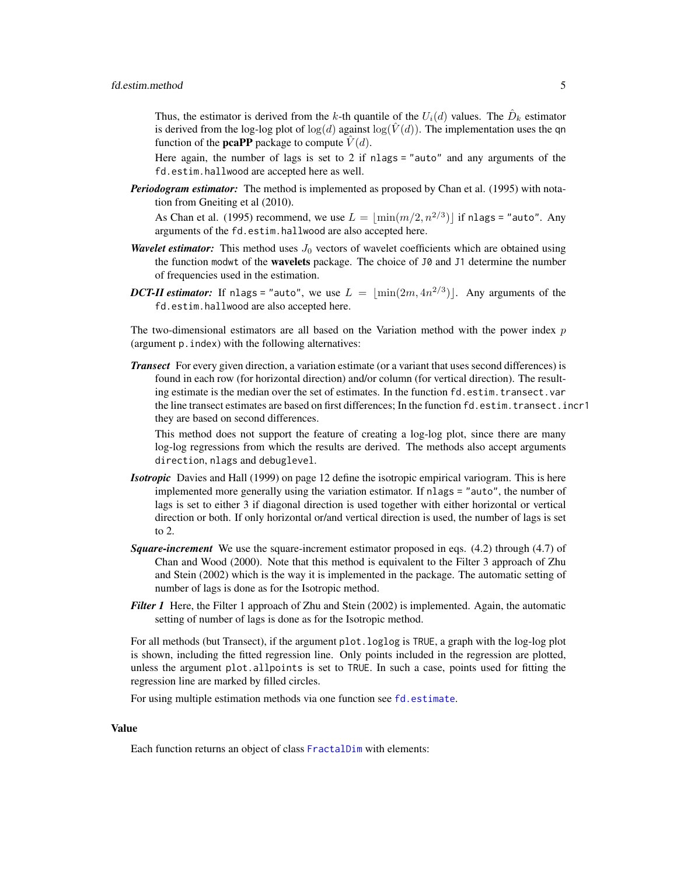<span id="page-4-0"></span>Thus, the estimator is derived from the k-th quantile of the  $U_i(d)$  values. The  $\hat{D}_k$  estimator is derived from the log-log plot of  $log(d)$  against  $log(\hat{V}(d))$ . The implementation uses the qn function of the **pcaPP** package to compute  $\hat{V}(d)$ .

Here again, the number of lags is set to 2 if nlags = "auto" and any arguments of the fd.estim.hallwood are accepted here as well.

*Periodogram estimator:* The method is implemented as proposed by Chan et al. (1995) with notation from Gneiting et al (2010).

As Chan et al. (1995) recommend, we use  $L = \lfloor \min(m/2, n^{2/3}) \rfloor$  if nlags = "auto". Any arguments of the fd.estim.hallwood are also accepted here.

- *Wavelet estimator:* This method uses  $J_0$  vectors of wavelet coefficients which are obtained using the function modwt of the wavelets package. The choice of J0 and J1 determine the number of frequencies used in the estimation.
- *DCT-II estimator*: If nlags = "auto", we use  $L = \lfloor \min(2m, 4n^{2/3}) \rfloor$ . Any arguments of the fd.estim.hallwood are also accepted here.

The two-dimensional estimators are all based on the Variation method with the power index  $p$ (argument p.index) with the following alternatives:

*Transect* For every given direction, a variation estimate (or a variant that uses second differences) is found in each row (for horizontal direction) and/or column (for vertical direction). The resulting estimate is the median over the set of estimates. In the function fd.estim.transect.var the line transect estimates are based on first differences; In the function fd.estim.transect.incr1 they are based on second differences.

This method does not support the feature of creating a log-log plot, since there are many log-log regressions from which the results are derived. The methods also accept arguments direction, nlags and debuglevel.

- *Isotropic* Davies and Hall (1999) on page 12 define the isotropic empirical variogram. This is here implemented more generally using the variation estimator. If nlags = "auto", the number of lags is set to either 3 if diagonal direction is used together with either horizontal or vertical direction or both. If only horizontal or/and vertical direction is used, the number of lags is set to 2.
- **Square-increment** We use the square-increment estimator proposed in eqs. (4.2) through (4.7) of Chan and Wood (2000). Note that this method is equivalent to the Filter 3 approach of Zhu and Stein (2002) which is the way it is implemented in the package. The automatic setting of number of lags is done as for the Isotropic method.
- *Filter 1* Here, the Filter 1 approach of Zhu and Stein (2002) is implemented. Again, the automatic setting of number of lags is done as for the Isotropic method.

For all methods (but Transect), if the argument plot.loglog is TRUE, a graph with the log-log plot is shown, including the fitted regression line. Only points included in the regression are plotted, unless the argument plot.allpoints is set to TRUE. In such a case, points used for fitting the regression line are marked by filled circles.

For using multiple estimation methods via one function see [fd.estimate](#page-6-1).

#### Value

Each function returns an object of class [FractalDim](#page-6-2) with elements: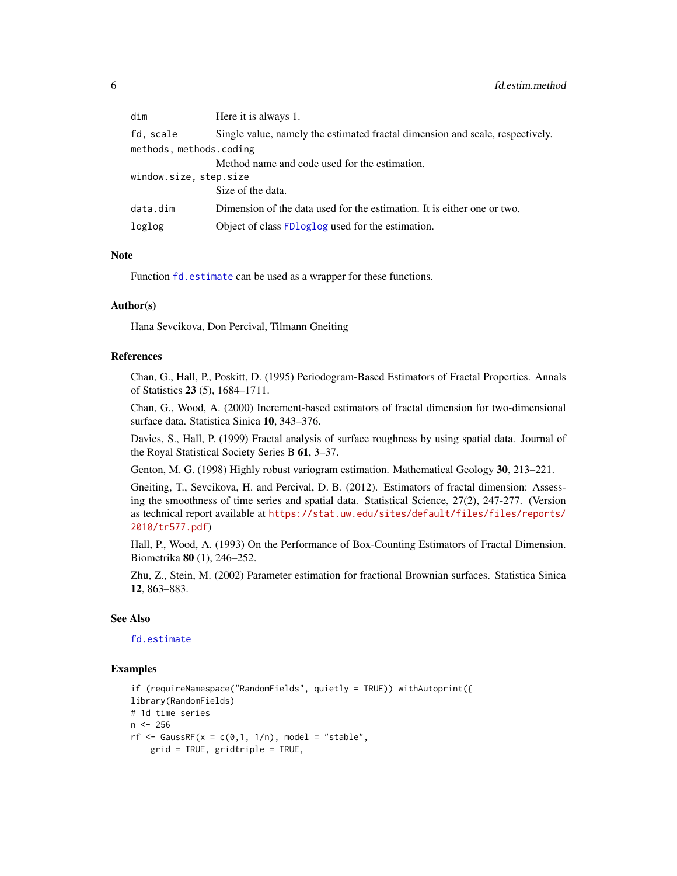<span id="page-5-0"></span>

| dim                     | Here it is always 1.                                                          |  |
|-------------------------|-------------------------------------------------------------------------------|--|
| fd, scale               | Single value, namely the estimated fractal dimension and scale, respectively. |  |
| methods, methods.coding |                                                                               |  |
|                         | Method name and code used for the estimation.                                 |  |
| window.size, step.size  |                                                                               |  |
|                         | Size of the data.                                                             |  |
| data.dim                | Dimension of the data used for the estimation. It is either one or two.       |  |
| loglog                  | Object of class FDloglog used for the estimation.                             |  |

#### Note

Function [fd.estimate](#page-6-1) can be used as a wrapper for these functions.

#### Author(s)

Hana Sevcikova, Don Percival, Tilmann Gneiting

## References

Chan, G., Hall, P., Poskitt, D. (1995) Periodogram-Based Estimators of Fractal Properties. Annals of Statistics 23 (5), 1684–1711.

Chan, G., Wood, A. (2000) Increment-based estimators of fractal dimension for two-dimensional surface data. Statistica Sinica 10, 343–376.

Davies, S., Hall, P. (1999) Fractal analysis of surface roughness by using spatial data. Journal of the Royal Statistical Society Series B 61, 3–37.

Genton, M. G. (1998) Highly robust variogram estimation. Mathematical Geology 30, 213–221.

Gneiting, T., Sevcikova, H. and Percival, D. B. (2012). Estimators of fractal dimension: Assessing the smoothness of time series and spatial data. Statistical Science, 27(2), 247-277. (Version as technical report available at [https://stat.uw.edu/sites/default/files/files/reports/](https://stat.uw.edu/sites/default/files/files/reports/2010/tr577.pdf) [2010/tr577.pdf](https://stat.uw.edu/sites/default/files/files/reports/2010/tr577.pdf))

Hall, P., Wood, A. (1993) On the Performance of Box-Counting Estimators of Fractal Dimension. Biometrika 80 (1), 246–252.

Zhu, Z., Stein, M. (2002) Parameter estimation for fractional Brownian surfaces. Statistica Sinica 12, 863–883.

#### See Also

#### [fd.estimate](#page-6-1)

#### Examples

```
if (requireNamespace("RandomFields", quietly = TRUE)) withAutoprint({
library(RandomFields)
# 1d time series
n < -256rf <- GaussRF(x = c(0,1, 1/n), model = "stable",
   grid = TRUE, gridtriple = TRUE,
```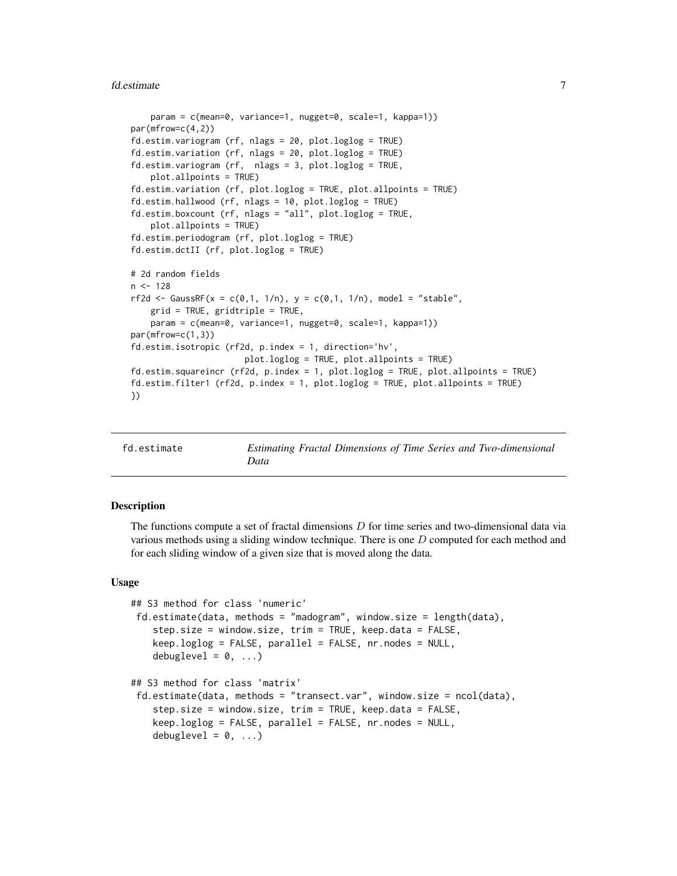#### <span id="page-6-0"></span>fd.estimate 7

```
param = c(mean=0, variance=1, nugget=0, scale=1, kappa=1))
par(mfrow=c(4,2))fd.estim.variogram (rf, nlags = 20, plot.loglog = TRUE)
fd.estim.variation (rf, nlags = 20, plot.loglog = TRUE)
fd.estim.variogram (rf, nlags = 3, plot.loglog = TRUE,
   plot.allpoints = TRUE)
fd.estim.variation (rf, plot.loglog = TRUE, plot.allpoints = TRUE)
fd.estim.hallwood (rf, nlags = 10, plot.loglog = TRUE)
fd.estim.boxcount (rf, nlags = "all", plot.loglog = TRUE,
    plot.allpoints = TRUE)
fd.estim.periodogram (rf, plot.loglog = TRUE)
fd.estim.dctII (rf, plot.loglog = TRUE)
# 2d random fields
n < -128rf2d <- GaussRF(x = c(0,1, 1/n), y = c(0,1, 1/n), model = "stable",
   grid = TRUE, gridtriple = TRUE,
    param = c(mean=0, variance=1, nugget=0, scale=1, kappa=1))
par(mfrow=c(1,3))
fd.estim.isotropic (rf2d, p.index = 1, direction='hv',
                       plot.loglog = TRUE, plot.allpoints = TRUE)
fd.estim.squareincr (rf2d, p.index = 1, plot.loglog = TRUE, plot.allpoints = TRUE)
fd.estim.filter1 (rf2d, p.index = 1, plot.loglog = TRUE, plot.allpoints = TRUE)
})
```
<span id="page-6-1"></span>

Estimating Fractal Dimensions of Time Series and Two-dimensional *Data*

#### <span id="page-6-2"></span>Description

The functions compute a set of fractal dimensions  $D$  for time series and two-dimensional data via various methods using a sliding window technique. There is one  $D$  computed for each method and for each sliding window of a given size that is moved along the data.

#### Usage

```
## S3 method for class 'numeric'
fd.estimate(data, methods = "madogram", window.size = length(data),
    step.size = window.size, trim = TRUE, keep.data = FALSE,
    keep.loglog = FALSE, parallel = FALSE, nr.nodes = NULL,
    debuglevel = 0, \ldots)
## S3 method for class 'matrix'
fd.estimate(data, methods = "transect.var", window.size = ncol(data),
    step.size = window.size, trim = TRUE, keep.data = FALSE,
    keep.loglog = FALSE, parallel = FALSE, nr.nodes = NULL,
    debuglevel = 0, \ldots)
```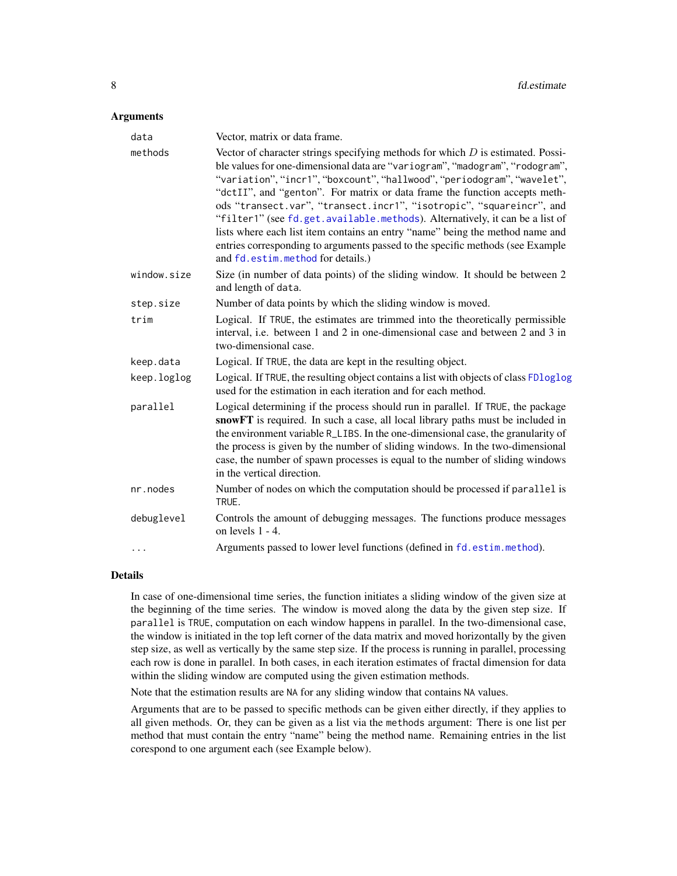#### <span id="page-7-0"></span>**Arguments**

| data        | Vector, matrix or data frame.                                                                                                                                                                                                                                                                                                                                                                                                                                                                                                                                                                                                                                                              |  |
|-------------|--------------------------------------------------------------------------------------------------------------------------------------------------------------------------------------------------------------------------------------------------------------------------------------------------------------------------------------------------------------------------------------------------------------------------------------------------------------------------------------------------------------------------------------------------------------------------------------------------------------------------------------------------------------------------------------------|--|
| methods     | Vector of character strings specifying methods for which $D$ is estimated. Possi-<br>ble values for one-dimensional data are "variogram", "madogram", "rodogram",<br>"variation", "incr1", "boxcount", "hallwood", "periodogram", "wavelet",<br>"dctII", and "genton". For matrix or data frame the function accepts meth-<br>ods "transect.var", "transect.incr1", "isotropic", "squareincr", and<br>"filter1" (see fd.get.available.methods). Alternatively, it can be a list of<br>lists where each list item contains an entry "name" being the method name and<br>entries corresponding to arguments passed to the specific methods (see Example<br>and fd.estim.method for details.) |  |
| window.size | Size (in number of data points) of the sliding window. It should be between 2<br>and length of data.                                                                                                                                                                                                                                                                                                                                                                                                                                                                                                                                                                                       |  |
| step.size   | Number of data points by which the sliding window is moved.                                                                                                                                                                                                                                                                                                                                                                                                                                                                                                                                                                                                                                |  |
| trim        | Logical. If TRUE, the estimates are trimmed into the theoretically permissible<br>interval, i.e. between 1 and 2 in one-dimensional case and between 2 and 3 in<br>two-dimensional case.                                                                                                                                                                                                                                                                                                                                                                                                                                                                                                   |  |
| keep.data   | Logical. If TRUE, the data are kept in the resulting object.                                                                                                                                                                                                                                                                                                                                                                                                                                                                                                                                                                                                                               |  |
| keep.loglog | Logical. If TRUE, the resulting object contains a list with objects of class FDloglog<br>used for the estimation in each iteration and for each method.                                                                                                                                                                                                                                                                                                                                                                                                                                                                                                                                    |  |
| parallel    | Logical determining if the process should run in parallel. If TRUE, the package<br>snowFT is required. In such a case, all local library paths must be included in<br>the environment variable R_LIBS. In the one-dimensional case, the granularity of<br>the process is given by the number of sliding windows. In the two-dimensional<br>case, the number of spawn processes is equal to the number of sliding windows<br>in the vertical direction.                                                                                                                                                                                                                                     |  |
| nr.nodes    | Number of nodes on which the computation should be processed if parallel is<br>TRUE.                                                                                                                                                                                                                                                                                                                                                                                                                                                                                                                                                                                                       |  |
| debuglevel  | Controls the amount of debugging messages. The functions produce messages<br>on levels 1 - 4.                                                                                                                                                                                                                                                                                                                                                                                                                                                                                                                                                                                              |  |
| $\cdots$    | Arguments passed to lower level functions (defined in fd. estim. method).                                                                                                                                                                                                                                                                                                                                                                                                                                                                                                                                                                                                                  |  |

#### Details

In case of one-dimensional time series, the function initiates a sliding window of the given size at the beginning of the time series. The window is moved along the data by the given step size. If parallel is TRUE, computation on each window happens in parallel. In the two-dimensional case, the window is initiated in the top left corner of the data matrix and moved horizontally by the given step size, as well as vertically by the same step size. If the process is running in parallel, processing each row is done in parallel. In both cases, in each iteration estimates of fractal dimension for data within the sliding window are computed using the given estimation methods.

Note that the estimation results are NA for any sliding window that contains NA values.

Arguments that are to be passed to specific methods can be given either directly, if they applies to all given methods. Or, they can be given as a list via the methods argument: There is one list per method that must contain the entry "name" being the method name. Remaining entries in the list corespond to one argument each (see Example below).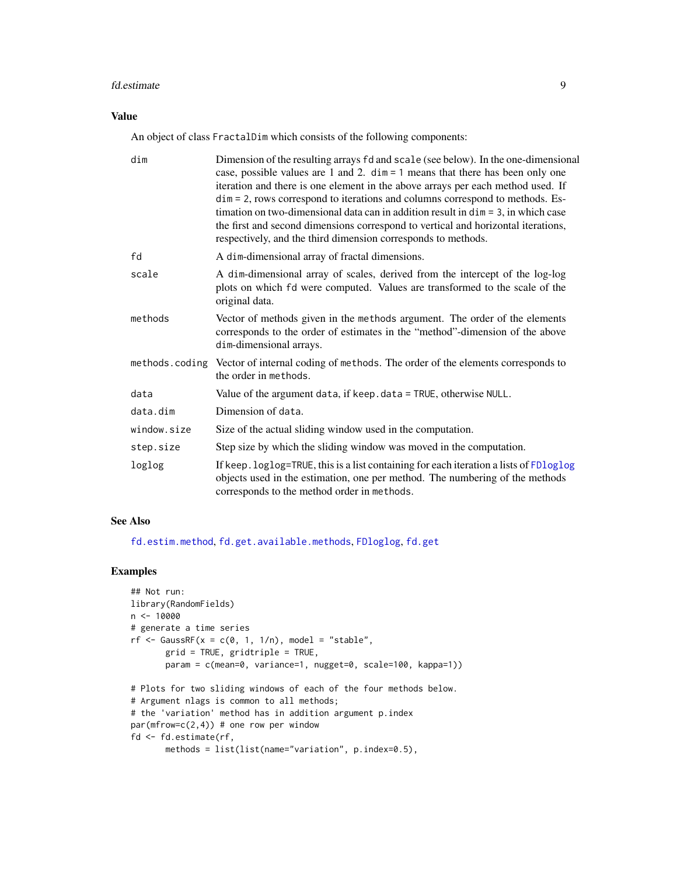#### <span id="page-8-0"></span>fd.estimate 9

## Value

An object of class FractalDim which consists of the following components:

| dim         | Dimension of the resulting arrays fd and scale (see below). In the one-dimensional<br>case, possible values are 1 and 2. $\dim = 1$ means that there has been only one<br>iteration and there is one element in the above arrays per each method used. If<br>dim = 2, rows correspond to iterations and columns correspond to methods. Es-<br>timation on two-dimensional data can in addition result in $\dim = 3$ , in which case<br>the first and second dimensions correspond to vertical and horizontal iterations,<br>respectively, and the third dimension corresponds to methods. |
|-------------|-------------------------------------------------------------------------------------------------------------------------------------------------------------------------------------------------------------------------------------------------------------------------------------------------------------------------------------------------------------------------------------------------------------------------------------------------------------------------------------------------------------------------------------------------------------------------------------------|
| fd          | A dim-dimensional array of fractal dimensions.                                                                                                                                                                                                                                                                                                                                                                                                                                                                                                                                            |
| scale       | A dim-dimensional array of scales, derived from the intercept of the log-log<br>plots on which fd were computed. Values are transformed to the scale of the<br>original data.                                                                                                                                                                                                                                                                                                                                                                                                             |
| methods     | Vector of methods given in the methods argument. The order of the elements<br>corresponds to the order of estimates in the "method"-dimension of the above<br>dim-dimensional arrays.                                                                                                                                                                                                                                                                                                                                                                                                     |
|             | methods.coding Vector of internal coding of methods. The order of the elements corresponds to<br>the order in methods.                                                                                                                                                                                                                                                                                                                                                                                                                                                                    |
| data        | Value of the argument data, if keep. data = TRUE, otherwise NULL.                                                                                                                                                                                                                                                                                                                                                                                                                                                                                                                         |
| data.dim    | Dimension of data.                                                                                                                                                                                                                                                                                                                                                                                                                                                                                                                                                                        |
| window.size | Size of the actual sliding window used in the computation.                                                                                                                                                                                                                                                                                                                                                                                                                                                                                                                                |
| step.size   | Step size by which the sliding window was moved in the computation.                                                                                                                                                                                                                                                                                                                                                                                                                                                                                                                       |
| loglog      | If keep. loglog=TRUE, this is a list containing for each iteration a lists of FDloglog<br>objects used in the estimation, one per method. The numbering of the methods<br>corresponds to the method order in methods.                                                                                                                                                                                                                                                                                                                                                                     |

## See Also

[fd.estim.method](#page-1-1), [fd.get.available.methods](#page-10-1), [FDloglog](#page-11-1), [fd.get](#page-9-1)

## Examples

```
## Not run:
library(RandomFields)
n <- 10000
# generate a time series
rf \leftarrow GaussRF(x = c(0, 1, 1/n), model = "stable",
       grid = TRUE, gridtriple = TRUE,
       param = c(mean=0, variance=1, nugget=0, scale=100, kappa=1))
# Plots for two sliding windows of each of the four methods below.
# Argument nlags is common to all methods;
# the 'variation' method has in addition argument p.index
par(mfrow=c(2,4)) # one row per window
fd <- fd.estimate(rf,
       methods = list(list(name="variation", p.index=0.5),
```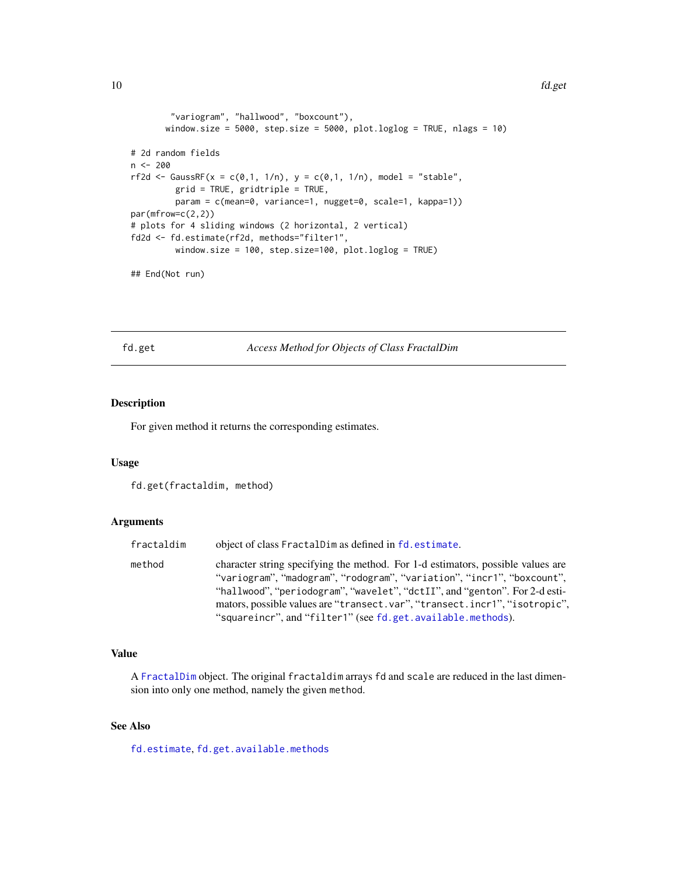#### <span id="page-9-0"></span>10 fd.get

```
"variogram", "hallwood", "boxcount"),
      window.size = 5000, step.size = 5000, plot.loglog = TRUE, nlags = 10)
# 2d random fields
n <- 200
rf2d <- GaussRF(x = c(0,1, 1/n), y = c(0,1, 1/n), model = "stable",
        grid = TRUE, gridtriple = TRUE,
        param = c(mean=0, variance=1, nugget=0, scale=1, kappa=1))
par(mfrow=c(2,2))
# plots for 4 sliding windows (2 horizontal, 2 vertical)
fd2d <- fd.estimate(rf2d, methods="filter1",
        window.size = 100, step.size=100, plot.loglog = TRUE)
```
## End(Not run)

<span id="page-9-1"></span>fd.get *Access Method for Objects of Class FractalDim*

## Description

For given method it returns the corresponding estimates.

## Usage

```
fd.get(fractaldim, method)
```
## Arguments

| fractaldim | object of class FractalDim as defined in fd. estimate.                          |
|------------|---------------------------------------------------------------------------------|
| method     | character string specifying the method. For 1-d estimators, possible values are |
|            | "variogram", "madogram", "rodogram", "variation", "incr1", "boxcount",          |
|            | "hallwood", "periodogram", "wavelet", "dctII", and "genton". For 2-d esti-      |
|            | mators, possible values are "transect.var", "transect.incr1", "isotropic",      |
|            | "squareincr", and "filter1" (see fd.get.available.methods).                     |

#### Value

A [FractalDim](#page-6-2) object. The original fractaldim arrays fd and scale are reduced in the last dimension into only one method, namely the given method.

## See Also

[fd.estimate](#page-6-1), [fd.get.available.methods](#page-10-1)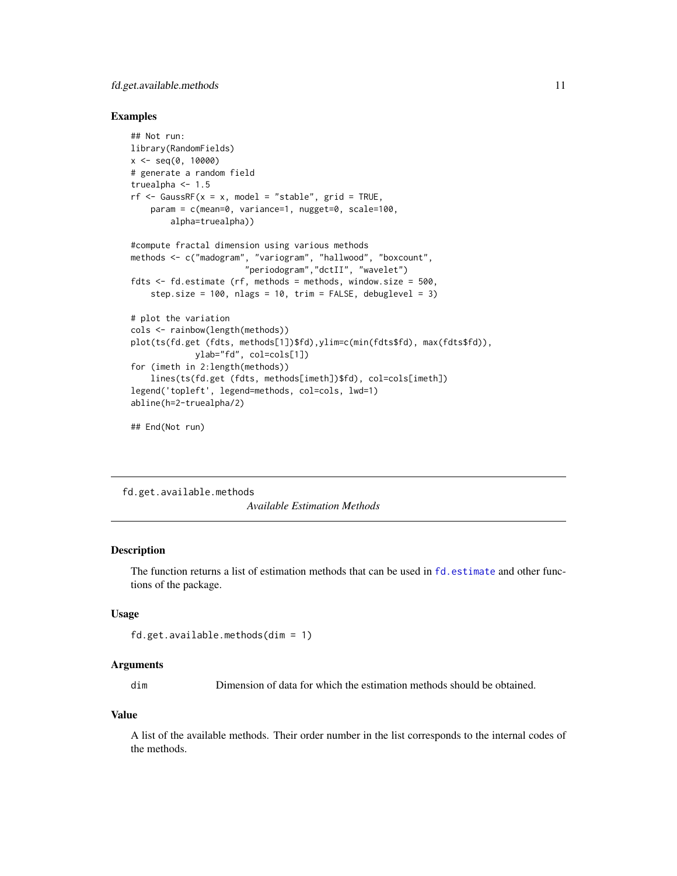## <span id="page-10-0"></span>fd.get.available.methods 11

#### Examples

```
## Not run:
library(RandomFields)
x \le - seq(0, 10000)
# generate a random field
truealpha <- 1.5
rf \leq GaussRF(x = x, model = "stable", grid = TRUE,
    param = c(mean=0, variance=1, nugget=0, scale=100,
        alpha=truealpha))
#compute fractal dimension using various methods
methods <- c("madogram", "variogram", "hallwood", "boxcount",
                       "periodogram","dctII", "wavelet")
fdts \leq fd.estimate (rf, methods = methods, window.size = 500,
    step.size = 100, nlags = 10, trim = FALSE, debuglevel = 3)
# plot the variation
cols <- rainbow(length(methods))
plot(ts(fd.get (fdts, methods[1])$fd),ylim=c(min(fdts$fd), max(fdts$fd)),
             ylab="fd", col=cols[1])
for (imeth in 2:length(methods))
    lines(ts(fd.get (fdts, methods[imeth])$fd), col=cols[imeth])
legend('topleft', legend=methods, col=cols, lwd=1)
abline(h=2-truealpha/2)
```
## End(Not run)

<span id="page-10-1"></span>fd.get.available.methods *Available Estimation Methods*

#### Description

The function returns a list of estimation methods that can be used in [fd.estimate](#page-6-1) and other functions of the package.

## Usage

```
fd.get.available.methods(dim = 1)
```
#### **Arguments**

dim Dimension of data for which the estimation methods should be obtained.

#### Value

A list of the available methods. Their order number in the list corresponds to the internal codes of the methods.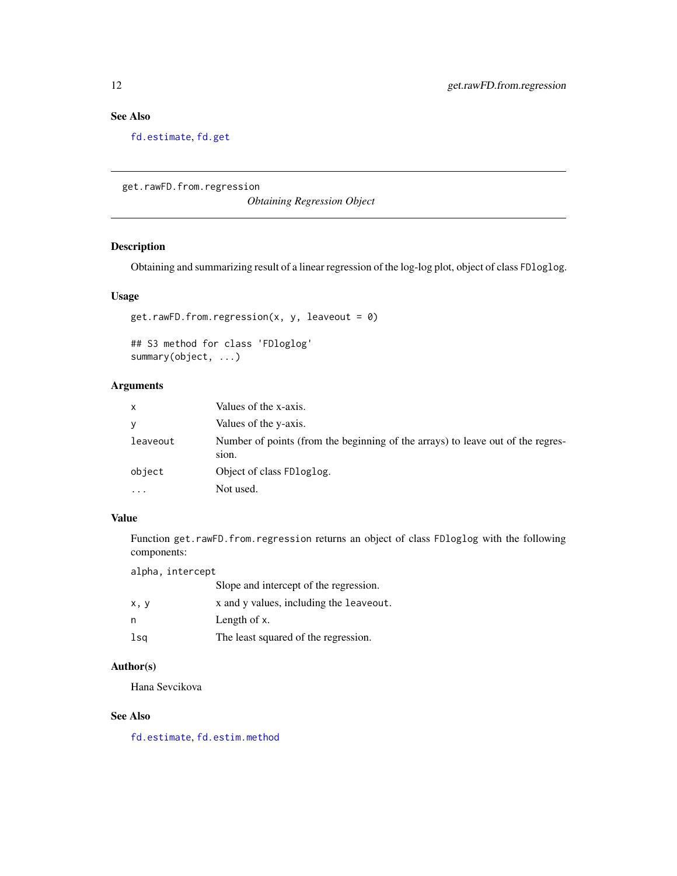## See Also

[fd.estimate](#page-6-1), [fd.get](#page-9-1)

get.rawFD.from.regression

*Obtaining Regression Object*

## <span id="page-11-1"></span>Description

Obtaining and summarizing result of a linear regression of the log-log plot, object of class FDloglog.

## Usage

get.rawFD.from.regression(x, y, leaveout =  $\theta$ )

## S3 method for class 'FDloglog' summary(object, ...)

## Arguments

| $\mathsf{x}$ | Values of the x-axis.                                                                    |
|--------------|------------------------------------------------------------------------------------------|
| y            | Values of the y-axis.                                                                    |
| leaveout     | Number of points (from the beginning of the arrays) to leave out of the regres-<br>sion. |
| object       | Object of class FD loglog.                                                               |
| $\cdots$     | Not used.                                                                                |

## Value

Function get.rawFD.from.regression returns an object of class FDloglog with the following components:

alpha, intercept

|      | Slope and intercept of the regression.  |
|------|-----------------------------------------|
| x, y | x and y values, including the leaveout. |
| n    | Length of x.                            |
| lsa  | The least squared of the regression.    |

## Author(s)

Hana Sevcikova

## See Also

[fd.estimate](#page-6-1), [fd.estim.method](#page-1-1)

<span id="page-11-0"></span>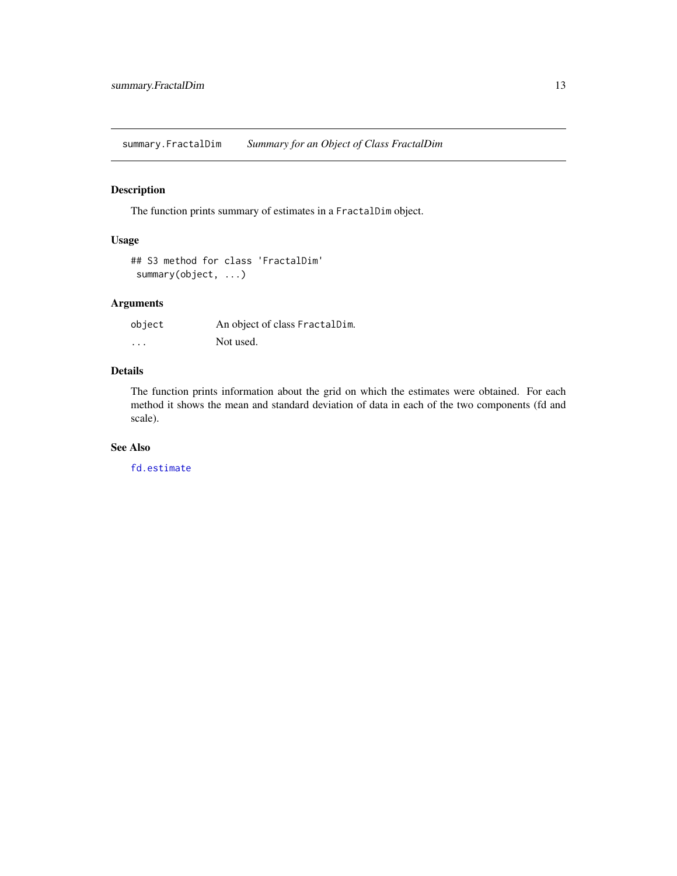<span id="page-12-0"></span>summary.FractalDim *Summary for an Object of Class FractalDim*

## Description

The function prints summary of estimates in a FractalDim object.

## Usage

```
## S3 method for class 'FractalDim'
summary(object, ...)
```
## Arguments

| object   | An object of class FractalDim. |
|----------|--------------------------------|
| $\cdots$ | Not used.                      |

## Details

The function prints information about the grid on which the estimates were obtained. For each method it shows the mean and standard deviation of data in each of the two components (fd and scale).

#### See Also

[fd.estimate](#page-6-1)